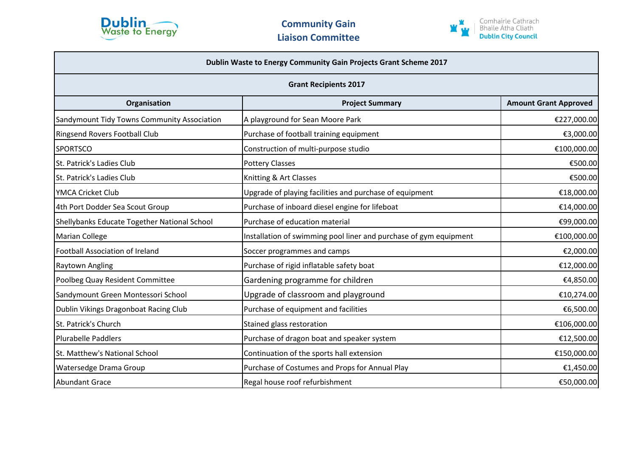



| Dublin Waste to Energy Community Gain Projects Grant Scheme 2017<br><b>Grant Recipients 2017</b> |                                                                   |             |  |
|--------------------------------------------------------------------------------------------------|-------------------------------------------------------------------|-------------|--|
|                                                                                                  |                                                                   |             |  |
| Sandymount Tidy Towns Community Association                                                      | A playground for Sean Moore Park                                  | €227,000.00 |  |
| <b>Ringsend Rovers Football Club</b>                                                             | Purchase of football training equipment                           | €3,000.00   |  |
| <b>SPORTSCO</b>                                                                                  | Construction of multi-purpose studio                              | €100,000.00 |  |
| St. Patrick's Ladies Club                                                                        | <b>Pottery Classes</b>                                            | €500.00     |  |
| St. Patrick's Ladies Club                                                                        | Knitting & Art Classes                                            | €500.00     |  |
| YMCA Cricket Club                                                                                | Upgrade of playing facilities and purchase of equipment           | €18,000.00  |  |
| 4th Port Dodder Sea Scout Group                                                                  | Purchase of inboard diesel engine for lifeboat                    | €14,000.00  |  |
| Shellybanks Educate Together National School                                                     | Purchase of education material                                    | €99,000.00  |  |
| Marian College                                                                                   | Installation of swimming pool liner and purchase of gym equipment | €100,000.00 |  |
| <b>Football Association of Ireland</b>                                                           | Soccer programmes and camps                                       | €2,000.00   |  |
| Raytown Angling                                                                                  | Purchase of rigid inflatable safety boat                          | €12,000.00  |  |
| Poolbeg Quay Resident Committee                                                                  | Gardening programme for children                                  | €4,850.00   |  |
| Sandymount Green Montessori School                                                               | Upgrade of classroom and playground                               | €10,274.00  |  |
| Dublin Vikings Dragonboat Racing Club                                                            | Purchase of equipment and facilities                              | €6,500.00   |  |
| St. Patrick's Church                                                                             | Stained glass restoration                                         | €106,000.00 |  |
| Plurabelle Paddlers                                                                              | Purchase of dragon boat and speaker system                        | €12,500.00  |  |
| St. Matthew's National School                                                                    | Continuation of the sports hall extension                         | €150,000.00 |  |
| <b>Watersedge Drama Group</b>                                                                    | Purchase of Costumes and Props for Annual Play                    | €1,450.00   |  |
| <b>Abundant Grace</b>                                                                            | Regal house roof refurbishment                                    | €50,000.00  |  |